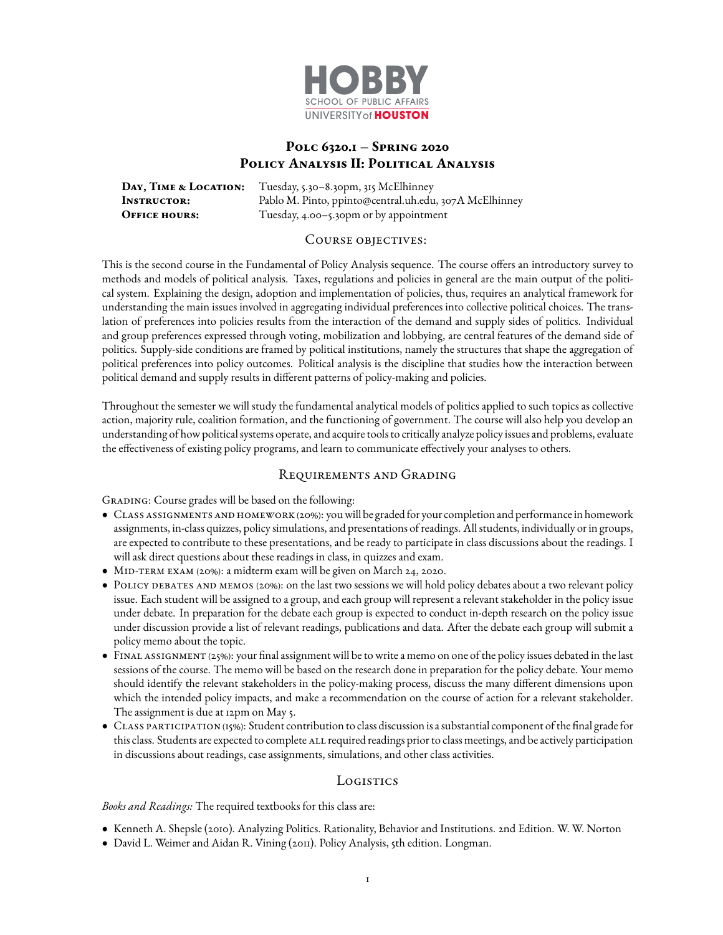

# **Polc 6320.1 – Spring 2020 Policy Analysis II: Political Analysis**

**Day, Time & Location:** Tuesday, 5.30–8.30pm, 315 McElhinney **Instructor:** Pablo M. Pinto, ppinto@central.uh.edu, 307A McElhinney **OFFICE HOURS:** Tuesday, 4.00-5.30pm or by appointment

#### COURSE OBJECTIVES:

This is the second course in the Fundamental of Policy Analysis sequence. The course offers an introductory survey to methods and models of political analysis. Taxes, regulations and policies in general are the main output of the political system. Explaining the design, adoption and implementation of policies, thus, requires an analytical framework for understanding the main issues involved in aggregating individual preferences into collective political choices. The translation of preferences into policies results from the interaction of the demand and supply sides of politics. Individual and group preferences expressed through voting, mobilization and lobbying, are central features of the demand side of politics. Supply-side conditions are framed by political institutions, namely the structures that shape the aggregation of political preferences into policy outcomes. Political analysis is the discipline that studies how the interaction between political demand and supply results in different patterns of policy-making and policies.

Throughout the semester we will study the fundamental analytical models of politics applied to such topics as collective action, majority rule, coalition formation, and the functioning of government. The course will also help you develop an understanding of how political systems operate, and acquire tools to critically analyze policy issues and problems, evaluate the effectiveness of existing policy programs, and learn to communicate effectively your analyses to others.

### Requirements and Grading

GRADING: Course grades will be based on the following:

- Class assignments and homework (20%): youwill be graded for your completion and performance in homework assignments, in-class quizzes, policy simulations, and presentations of readings. All students, individually or in groups, are expected to contribute to these presentations, and be ready to participate in class discussions about the readings. I will ask direct questions about these readings in class, in quizzes and exam.
- MID-TERM EXAM (20%): a midterm exam will be given on March 24, 2020.
- Policy debates and memos (20%): on the last two sessions we will hold policy debates about a two relevant policy issue. Each student will be assigned to a group, and each group will represent a relevant stakeholder in the policy issue under debate. In preparation for the debate each group is expected to conduct in-depth research on the policy issue under discussion provide a list of relevant readings, publications and data. After the debate each group will submit a policy memo about the topic.
- FINAL ASSIGNMENT (25%): your final assignment will be to write a memo on one of the policy issues debated in the last sessions of the course. The memo will be based on the research done in preparation for the policy debate. Your memo should identify the relevant stakeholders in the policy-making process, discuss the many different dimensions upon which the intended policy impacts, and make a recommendation on the course of action for a relevant stakeholder. The assignment is due at 12pm on May 5.
- CLASS PARTICIPATION (15%): Student contribution to class discussion is a substantial component of the final grade for this class. Students are expected to complete ALL required readings prior to class meetings, and be actively participation in discussions about readings, case assignments, simulations, and other class activities.

### **Logistics**

### *Books and Readings:* The required textbooks for this class are:

- Kenneth A. Shepsle (2010). Analyzing Politics. Rationality, Behavior and Institutions. 2nd Edition. W. W. Norton
- David L. Weimer and Aidan R. Vining (2011). Policy Analysis, 5th edition. Longman.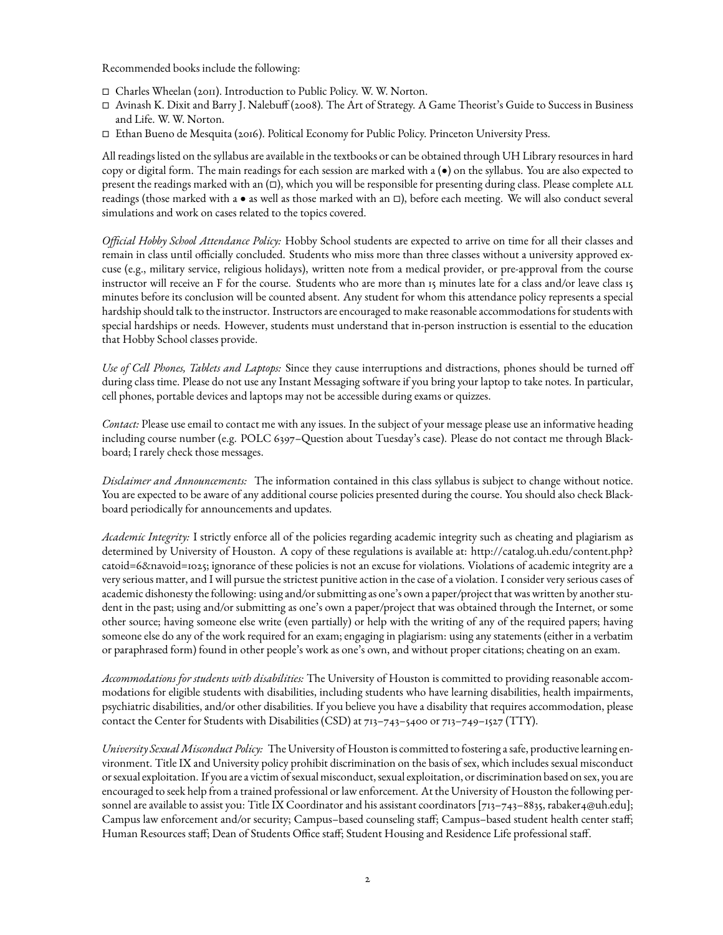Recommended books include the following:

- Charles Wheelan (2011). Introduction to Public Policy. W. W. Norton.
- Avinash K. Dixit and Barry J. Nalebu (2008). The Art of Strategy. A Game Theorist's Guide to Success in Business and Life. W. W. Norton.
- Ethan Bueno de Mesquita (2016). Political Economy for Public Policy. Princeton University Press.

All readings listed on the syllabus are available in the textbooks or can be obtained through UH Library resources in hard copy or digital form. The main readings for each session are marked with a (•) on the syllabus. You are also expected to present the readings marked with an  $(\Box)$ , which you will be responsible for presenting during class. Please complete ALL readings (those marked with a  $\bullet$  as well as those marked with an  $\Box$ ), before each meeting. We will also conduct several simulations and work on cases related to the topics covered.

*Official Hobby School Attendance Policy:* Hobby School students are expected to arrive on time for all their classes and remain in class until officially concluded. Students who miss more than three classes without a university approved excuse (e.g., military service, religious holidays), written note from a medical provider, or pre-approval from the course instructor will receive an F for the course. Students who are more than 15 minutes late for a class and/or leave class 15 minutes before its conclusion will be counted absent. Any student for whom this attendance policy represents a special hardship should talk to the instructor. Instructors are encouraged to make reasonable accommodations for students with special hardships or needs. However, students must understand that in-person instruction is essential to the education that Hobby School classes provide.

*Use of Cell Phones, Tablets and Laptops:* Since they cause interruptions and distractions, phones should be turned o during class time. Please do not use any Instant Messaging software if you bring your laptop to take notes. In particular, cell phones, portable devices and laptops may not be accessible during exams or quizzes.

*Contact:* Please use email to contact me with any issues. In the subject of your message please use an informative heading including course number (e.g. POLC 6397–Question about Tuesday's case). Please do not contact me through Blackboard; I rarely check those messages.

*Disclaimer and Announcements:* The information contained in this class syllabus is subject to change without notice. You are expected to be aware of any additional course policies presented during the course. You should also check Blackboard periodically for announcements and updates.

*Academic Integrity:* I strictly enforce all of the policies regarding academic integrity such as cheating and plagiarism as determined by University of Houston. A copy of these regulations is available at: [http://catalog.uh.edu/content.php?](http://catalog.uh.edu/content.php?catoid=6&navoid=1025) [catoid=6&navoid=1025;](http://catalog.uh.edu/content.php?catoid=6&navoid=1025) ignorance of these policies is not an excuse for violations. Violations of academic integrity are a very serious matter, and I will pursue the strictest punitive action in the case of a violation. I consider very serious cases of academic dishonesty the following: using and/or submitting as one's own a paper/project that was written by another student in the past; using and/or submitting as one's own a paper/project that was obtained through the Internet, or some other source; having someone else write (even partially) or help with the writing of any of the required papers; having someone else do any of the work required for an exam; engaging in plagiarism: using any statements (either in a verbatim or paraphrased form) found in other people's work as one's own, and without proper citations; cheating on an exam.

*Accommodations for students with disabilities:* The University of Houston is committed to providing reasonable accommodations for eligible students with disabilities, including students who have learning disabilities, health impairments, psychiatric disabilities, and/or other disabilities. If you believe you have a disability that requires accommodation, please contact the Center for Students with Disabilities (CSD) at 713–743–5400 or 713–749–1527 (TTY).

*University SexualMisconduct Policy:* The University of Houston is committed to fostering a safe, productive learning environment. Title IX and University policy prohibit discrimination on the basis of sex, which includes sexual misconduct or sexual exploitation. If you are a victim of sexual misconduct, sexual exploitation, or discrimination based on sex, you are encouraged to seek help from a trained professional or law enforcement. At the University of Houston the following personnel are available to assist you: Title IX Coordinator and his assistant coordinators [713–743–8835, rabaker4@uh.edu]; Campus law enforcement and/or security; Campus–based counseling staff; Campus–based student health center staff; Human Resources staff; Dean of Students Office staff; Student Housing and Residence Life professional staff.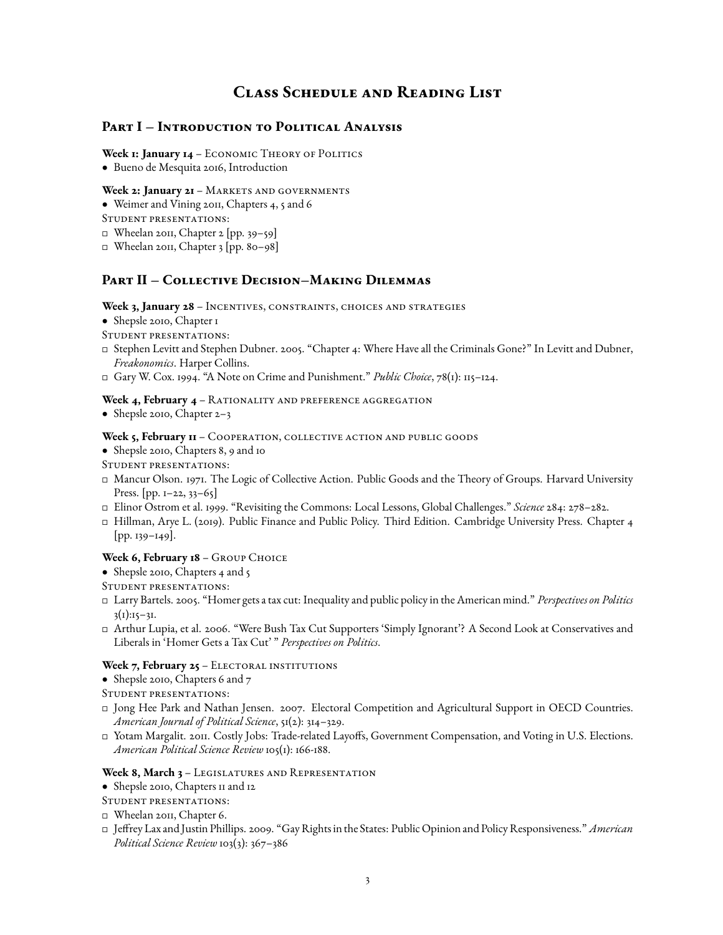# **Class Schedule and Reading List**

### **Part I – Introduction to Political Analysis**

Week **1: January 14** - ECONOMIC THEORY OF POLITICS

• Bueno de Mesquita 2016, Introduction

#### Week 2: January 21 - MARKETS AND GOVERNMENTS

• Weimer and Vining 2011, Chapters 4, 5 and 6

Student presentations:

- Wheelan 2011, Chapter 2 [pp. 39–59]
- Wheelan 2011, Chapter 3 [pp. 80–98]

## **Part II – Collective Decision–Making Dilemmas**

#### Week 3, January 28 - Incentives, constraints, choices and strategies

- Shepsle 2010, Chapter 1
- Student presentations:
- Stephen Levitt and Stephen Dubner. 2005. "Chapter 4: Where Have all the Criminals Gone?" In Levitt and Dubner, *Freakonomics*. Harper Collins.
- Gary W. Cox. 1994. "A Note on Crime and Punishment." *Public Choice*, 78(1): 115–124.

### Week 4, February 4 - RATIONALITY AND PREFERENCE AGGREGATION

• Shepsle 2010, Chapter 2-3

#### Week 5, February  $H - \text{Cooperator, COLLECTIVE ACTION}$  and public goods

- Shepsle 2010, Chapters 8, 9 and 10
- Student presentations:
- Mancur Olson. 1971. The Logic of Collective Action. Public Goods and the Theory of Groups. Harvard University Press. [pp. 1-22, 33-65]
- Elinor Ostrom et al. 1999. "Revisiting the Commons: Local Lessons, Global Challenges." *Science* 284: 278–282.
- Hillman, Arye L. (2019). Public Finance and Public Policy. Third Edition. Cambridge University Press. Chapter 4 [pp. 139–149].

### Week 6, February 18 - GROUP CHOICE

- Shepsle 2010, Chapters 4 and 5
- Student presentations:
- Larry Bartels. 2005. "Homer gets a tax cut: Inequality and public policy in the American mind." *Perspectives on Politics*  $3(1):15-31.$
- Arthur Lupia, et al. 2006. "Were Bush Tax Cut Supporters 'Simply Ignorant'? A Second Look at Conservatives and Liberals in 'Homer Gets a Tax Cut' " *Perspectives on Politics*.

### Week 7, February 25 - ELECTORAL INSTITUTIONS

- Shepsle 2010, Chapters 6 and 7
- Student presentations:
- Jong Hee Park and Nathan Jensen. 2007. Electoral Competition and Agricultural Support in OECD Countries. *American Journal of Political Science*, 51(2): 314–329.
- □ Yotam Margalit. 2011. Costly Jobs: Trade-related Layoffs, Government Compensation, and Voting in U.S. Elections. *American Political Science Review* 105(1): 166-188.

#### **Week 8, March 3** – Legislatures and Representation

- Shepsle 2010, Chapters 11 and 12
- Student presentations:
- Wheelan 2011, Chapter 6.
- Jerey Lax and Justin Phillips. 2009. "Gay Rights in the States: Public Opinion and Policy Responsiveness." *American Political Science Review* 103(3): 367–386